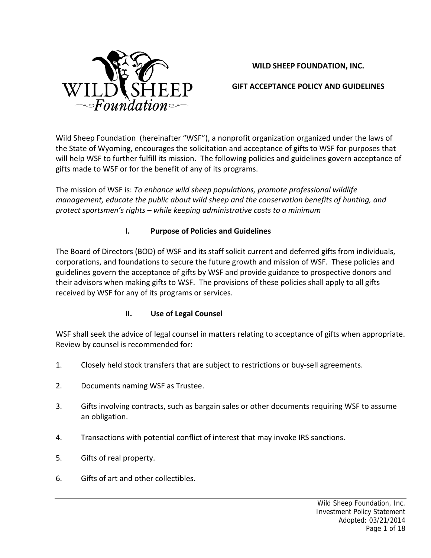

# **WILD SHEEP FOUNDATION, INC.**

# **GIFT ACCEPTANCE POLICY AND GUIDELINES**

Wild Sheep Foundation (hereinafter "WSF"), a nonprofit organization organized under the laws of the State of Wyoming, encourages the solicitation and acceptance of gifts to WSF for purposes that will help WSF to further fulfill its mission. The following policies and guidelines govern acceptance of gifts made to WSF or for the benefit of any of its programs.

The mission of WSF is: *To enhance wild sheep populations, promote professional wildlife management, educate the public about wild sheep and the conservation benefits of hunting, and protect sportsmen's rights – while keeping administrative costs to a minimum*

# **I. Purpose of Policies and Guidelines**

The Board of Directors (BOD) of WSF and its staff solicit current and deferred gifts from individuals, corporations, and foundations to secure the future growth and mission of WSF. These policies and guidelines govern the acceptance of gifts by WSF and provide guidance to prospective donors and their advisors when making gifts to WSF. The provisions of these policies shall apply to all gifts received by WSF for any of its programs or services.

# **II. Use of Legal Counsel**

WSF shall seek the advice of legal counsel in matters relating to acceptance of gifts when appropriate. Review by counsel is recommended for:

- 1. Closely held stock transfers that are subject to restrictions or buy‐sell agreements.
- 2. Documents naming WSF as Trustee.
- 3. Gifts involving contracts, such as bargain sales or other documents requiring WSF to assume an obligation.
- 4. Transactions with potential conflict of interest that may invoke IRS sanctions.
- 5. Gifts of real property.
- 6. Gifts of art and other collectibles.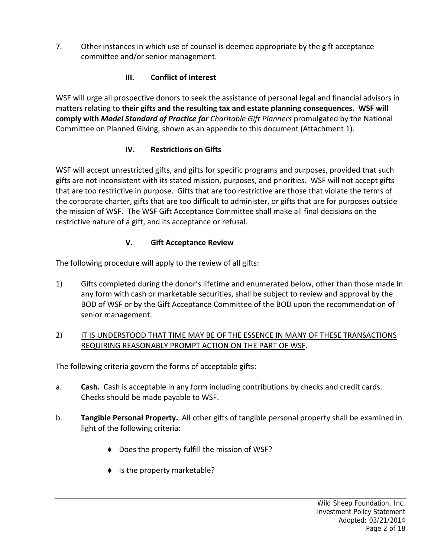7. Other instances in which use of counsel is deemed appropriate by the gift acceptance committee and/or senior management.

# **III. Conflict of Interest**

WSF will urge all prospective donors to seek the assistance of personal legal and financial advisors in matters relating to **their gifts and the resulting tax and estate planning consequences. WSF will comply with** *Model Standard of Practice for Charitable Gift Planners* promulgated by the National Committee on Planned Giving, shown as an appendix to this document (Attachment 1).

# **IV. Restrictions on Gifts**

WSF will accept unrestricted gifts, and gifts for specific programs and purposes, provided that such gifts are not inconsistent with its stated mission, purposes, and priorities. WSF will not accept gifts that are too restrictive in purpose. Gifts that are too restrictive are those that violate the terms of the corporate charter, gifts that are too difficult to administer, or gifts that are for purposes outside the mission of WSF. The WSF Gift Acceptance Committee shall make all final decisions on the restrictive nature of a gift, and its acceptance or refusal.

# **V. Gift Acceptance Review**

The following procedure will apply to the review of all gifts:

1) Gifts completed during the donor's lifetime and enumerated below, other than those made in any form with cash or marketable securities, shall be subject to review and approval by the BOD of WSF or by the Gift Acceptance Committee of the BOD upon the recommendation of senior management.

# 2) IT IS UNDERSTOOD THAT TIME MAY BE OF THE ESSENCE IN MANY OF THESE TRANSACTIONS REQUIRING REASONABLY PROMPT ACTION ON THE PART OF WSF.

The following criteria govern the forms of acceptable gifts:

- a. **Cash.** Cash is acceptable in any form including contributions by checks and credit cards. Checks should be made payable to WSF.
- b. **Tangible Personal Property.** All other gifts of tangible personal property shall be examined in light of the following criteria:
	- ◆ Does the property fulfill the mission of WSF?
	- $\bullet$  Is the property marketable?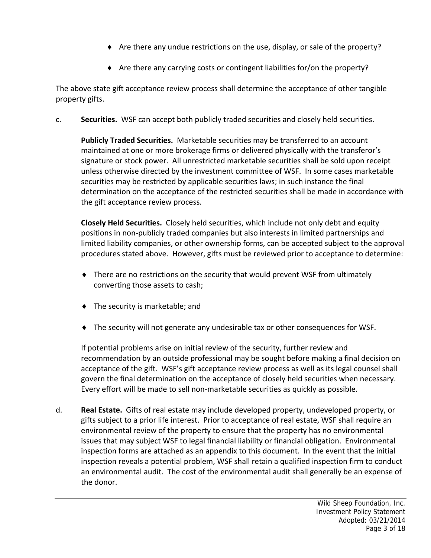- Are there any undue restrictions on the use, display, or sale of the property?
- Are there any carrying costs or contingent liabilities for/on the property?

The above state gift acceptance review process shall determine the acceptance of other tangible property gifts.

c. **Securities.** WSF can accept both publicly traded securities and closely held securities.

**Publicly Traded Securities.** Marketable securities may be transferred to an account maintained at one or more brokerage firms or delivered physically with the transferor's signature or stock power. All unrestricted marketable securities shall be sold upon receipt unless otherwise directed by the investment committee of WSF. In some cases marketable securities may be restricted by applicable securities laws; in such instance the final determination on the acceptance of the restricted securities shall be made in accordance with the gift acceptance review process.

**Closely Held Securities.** Closely held securities, which include not only debt and equity positions in non‐publicly traded companies but also interests in limited partnerships and limited liability companies, or other ownership forms, can be accepted subject to the approval procedures stated above. However, gifts must be reviewed prior to acceptance to determine:

- There are no restrictions on the security that would prevent WSF from ultimately converting those assets to cash;
- ◆ The security is marketable; and
- The security will not generate any undesirable tax or other consequences for WSF.

If potential problems arise on initial review of the security, further review and recommendation by an outside professional may be sought before making a final decision on acceptance of the gift. WSF's gift acceptance review process as well as its legal counsel shall govern the final determination on the acceptance of closely held securities when necessary. Every effort will be made to sell non-marketable securities as quickly as possible.

d. **Real Estate.** Gifts of real estate may include developed property, undeveloped property, or gifts subject to a prior life interest. Prior to acceptance of real estate, WSF shall require an environmental review of the property to ensure that the property has no environmental issues that may subject WSF to legal financial liability or financial obligation. Environmental inspection forms are attached as an appendix to this document. In the event that the initial inspection reveals a potential problem, WSF shall retain a qualified inspection firm to conduct an environmental audit. The cost of the environmental audit shall generally be an expense of the donor.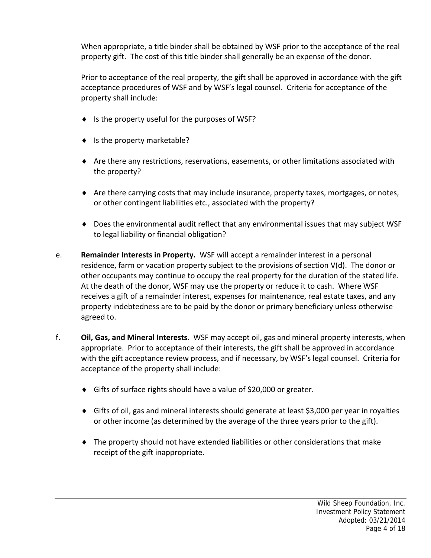When appropriate, a title binder shall be obtained by WSF prior to the acceptance of the real property gift. The cost of this title binder shall generally be an expense of the donor.

Prior to acceptance of the real property, the gift shall be approved in accordance with the gift acceptance procedures of WSF and by WSF's legal counsel. Criteria for acceptance of the property shall include:

- $\bullet$  Is the property useful for the purposes of WSF?
- $\bullet$  Is the property marketable?
- Are there any restrictions, reservations, easements, or other limitations associated with the property?
- Are there carrying costs that may include insurance, property taxes, mortgages, or notes, or other contingent liabilities etc., associated with the property?
- Does the environmental audit reflect that any environmental issues that may subject WSF to legal liability or financial obligation?
- e. **Remainder Interests in Property.** WSF will accept a remainder interest in a personal residence, farm or vacation property subject to the provisions of section V(d). The donor or other occupants may continue to occupy the real property for the duration of the stated life. At the death of the donor, WSF may use the property or reduce it to cash. Where WSF receives a gift of a remainder interest, expenses for maintenance, real estate taxes, and any property indebtedness are to be paid by the donor or primary beneficiary unless otherwise agreed to.
- f. **Oil, Gas, and Mineral Interests**. WSF may accept oil, gas and mineral property interests, when appropriate. Prior to acceptance of their interests, the gift shall be approved in accordance with the gift acceptance review process, and if necessary, by WSF's legal counsel. Criteria for acceptance of the property shall include:
	- ◆ Gifts of surface rights should have a value of \$20,000 or greater.
	- Gifts of oil, gas and mineral interests should generate at least \$3,000 per year in royalties or other income (as determined by the average of the three years prior to the gift).
	- The property should not have extended liabilities or other considerations that make receipt of the gift inappropriate.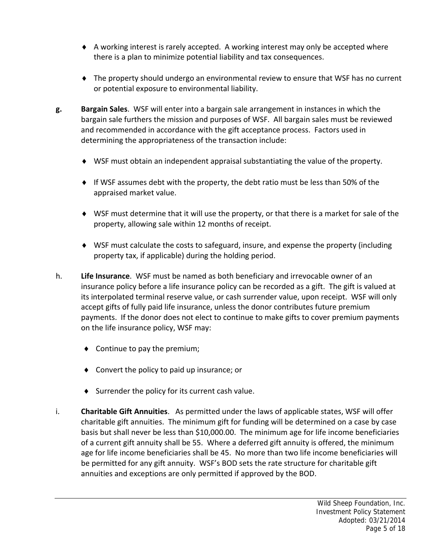- A working interest is rarely accepted. A working interest may only be accepted where there is a plan to minimize potential liability and tax consequences.
- The property should undergo an environmental review to ensure that WSF has no current or potential exposure to environmental liability.
- **g. Bargain Sales**. WSF will enter into a bargain sale arrangement in instances in which the bargain sale furthers the mission and purposes of WSF. All bargain sales must be reviewed and recommended in accordance with the gift acceptance process. Factors used in determining the appropriateness of the transaction include:
	- WSF must obtain an independent appraisal substantiating the value of the property.
	- $\bullet$  If WSF assumes debt with the property, the debt ratio must be less than 50% of the appraised market value.
	- WSF must determine that it will use the property, or that there is a market for sale of the property, allowing sale within 12 months of receipt.
	- WSF must calculate the costs to safeguard, insure, and expense the property (including property tax, if applicable) during the holding period.
- h. **Life Insurance**. WSF must be named as both beneficiary and irrevocable owner of an insurance policy before a life insurance policy can be recorded as a gift. The gift is valued at its interpolated terminal reserve value, or cash surrender value, upon receipt. WSF will only accept gifts of fully paid life insurance, unless the donor contributes future premium payments. If the donor does not elect to continue to make gifts to cover premium payments on the life insurance policy, WSF may:
	- ◆ Continue to pay the premium;
	- ◆ Convert the policy to paid up insurance; or
	- $\bullet$  Surrender the policy for its current cash value.
- i. **Charitable Gift Annuities**. As permitted under the laws of applicable states, WSF will offer charitable gift annuities. The minimum gift for funding will be determined on a case by case basis but shall never be less than \$10,000.00. The minimum age for life income beneficiaries of a current gift annuity shall be 55. Where a deferred gift annuity is offered, the minimum age for life income beneficiaries shall be 45. No more than two life income beneficiaries will be permitted for any gift annuity. WSF's BOD sets the rate structure for charitable gift annuities and exceptions are only permitted if approved by the BOD.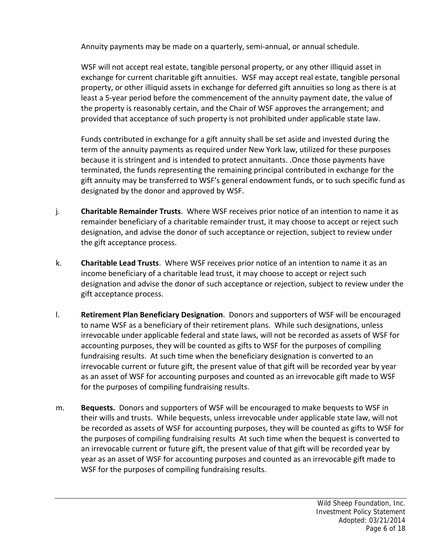Annuity payments may be made on a quarterly, semi‐annual, or annual schedule.

WSF will not accept real estate, tangible personal property, or any other illiquid asset in exchange for current charitable gift annuities. WSF may accept real estate, tangible personal property, or other illiquid assets in exchange for deferred gift annuities so long as there is at least a 5‐year period before the commencement of the annuity payment date, the value of the property is reasonably certain, and the Chair of WSF approves the arrangement; and provided that acceptance of such property is not prohibited under applicable state law.

Funds contributed in exchange for a gift annuity shall be set aside and invested during the term of the annuity payments as required under New York law, utilized for these purposes because it is stringent and is intended to protect annuitants. .Once those payments have terminated, the funds representing the remaining principal contributed in exchange for the gift annuity may be transferred to WSF's general endowment funds, or to such specific fund as designated by the donor and approved by WSF.

- j. **Charitable Remainder Trusts**. Where WSF receives prior notice of an intention to name it as remainder beneficiary of a charitable remainder trust, it may choose to accept or reject such designation, and advise the donor of such acceptance or rejection, subject to review under the gift acceptance process.
- k. **Charitable Lead Trusts**. Where WSF receives prior notice of an intention to name it as an income beneficiary of a charitable lead trust, it may choose to accept or reject such designation and advise the donor of such acceptance or rejection, subject to review under the gift acceptance process.
- l. **Retirement Plan Beneficiary Designation**. Donors and supporters of WSF will be encouraged to name WSF as a beneficiary of their retirement plans. While such designations, unless irrevocable under applicable federal and state laws, will not be recorded as assets of WSF for accounting purposes, they will be counted as gifts to WSF for the purposes of compiling fundraising results. At such time when the beneficiary designation is converted to an irrevocable current or future gift, the present value of that gift will be recorded year by year as an asset of WSF for accounting purposes and counted as an irrevocable gift made to WSF for the purposes of compiling fundraising results.
- m. **Bequests.** Donors and supporters of WSF will be encouraged to make bequests to WSF in their wills and trusts. While bequests, unless irrevocable under applicable state law, will not be recorded as assets of WSF for accounting purposes, they will be counted as gifts to WSF for the purposes of compiling fundraising results At such time when the bequest is converted to an irrevocable current or future gift, the present value of that gift will be recorded year by year as an asset of WSF for accounting purposes and counted as an irrevocable gift made to WSF for the purposes of compiling fundraising results.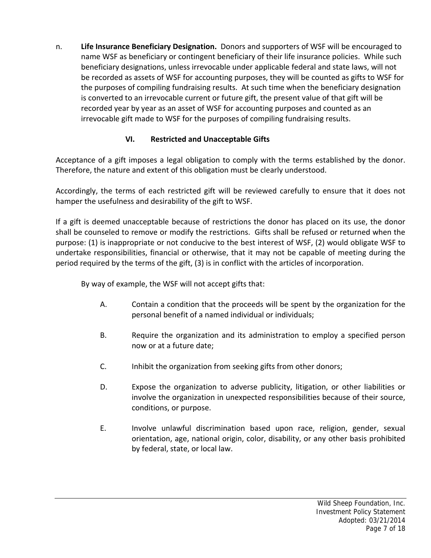n. **Life Insurance Beneficiary Designation.** Donors and supporters of WSF will be encouraged to name WSF as beneficiary or contingent beneficiary of their life insurance policies. While such beneficiary designations, unless irrevocable under applicable federal and state laws, will not be recorded as assets of WSF for accounting purposes, they will be counted as gifts to WSF for the purposes of compiling fundraising results. At such time when the beneficiary designation is converted to an irrevocable current or future gift, the present value of that gift will be recorded year by year as an asset of WSF for accounting purposes and counted as an irrevocable gift made to WSF for the purposes of compiling fundraising results.

# **VI. Restricted and Unacceptable Gifts**

Acceptance of a gift imposes a legal obligation to comply with the terms established by the donor. Therefore, the nature and extent of this obligation must be clearly understood.

Accordingly, the terms of each restricted gift will be reviewed carefully to ensure that it does not hamper the usefulness and desirability of the gift to WSF.

If a gift is deemed unacceptable because of restrictions the donor has placed on its use, the donor shall be counseled to remove or modify the restrictions. Gifts shall be refused or returned when the purpose: (1) is inappropriate or not conducive to the best interest of WSF, (2) would obligate WSF to undertake responsibilities, financial or otherwise, that it may not be capable of meeting during the period required by the terms of the gift, (3) is in conflict with the articles of incorporation.

By way of example, the WSF will not accept gifts that:

- A. Contain a condition that the proceeds will be spent by the organization for the personal benefit of a named individual or individuals;
- B. Require the organization and its administration to employ a specified person now or at a future date;
- C. Inhibit the organization from seeking gifts from other donors;
- D. Expose the organization to adverse publicity, litigation, or other liabilities or involve the organization in unexpected responsibilities because of their source, conditions, or purpose.
- E. Involve unlawful discrimination based upon race, religion, gender, sexual orientation, age, national origin, color, disability, or any other basis prohibited by federal, state, or local law.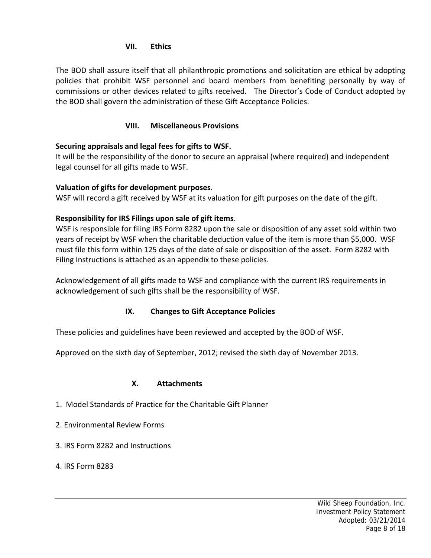## **VII. Ethics**

The BOD shall assure itself that all philanthropic promotions and solicitation are ethical by adopting policies that prohibit WSF personnel and board members from benefiting personally by way of commissions or other devices related to gifts received. The Director's Code of Conduct adopted by the BOD shall govern the administration of these Gift Acceptance Policies.

## **VIII. Miscellaneous Provisions**

# **Securing appraisals and legal fees for gifts to WSF.**

It will be the responsibility of the donor to secure an appraisal (where required) and independent legal counsel for all gifts made to WSF.

## **Valuation of gifts for development purposes**.

WSF will record a gift received by WSF at its valuation for gift purposes on the date of the gift.

## **Responsibility for IRS Filings upon sale of gift items**.

WSF is responsible for filing IRS Form 8282 upon the sale or disposition of any asset sold within two years of receipt by WSF when the charitable deduction value of the item is more than \$5,000. WSF must file this form within 125 days of the date of sale or disposition of the asset. Form 8282 with Filing Instructions is attached as an appendix to these policies.

Acknowledgement of all gifts made to WSF and compliance with the current IRS requirements in acknowledgement of such gifts shall be the responsibility of WSF.

# **IX. Changes to Gift Acceptance Policies**

These policies and guidelines have been reviewed and accepted by the BOD of WSF.

Approved on the sixth day of September, 2012; revised the sixth day of November 2013.

### **X. Attachments**

- 1. Model Standards of Practice for the Charitable Gift Planner
- 2. Environmental Review Forms
- 3. IRS Form 8282 and Instructions
- 4. IRS Form 8283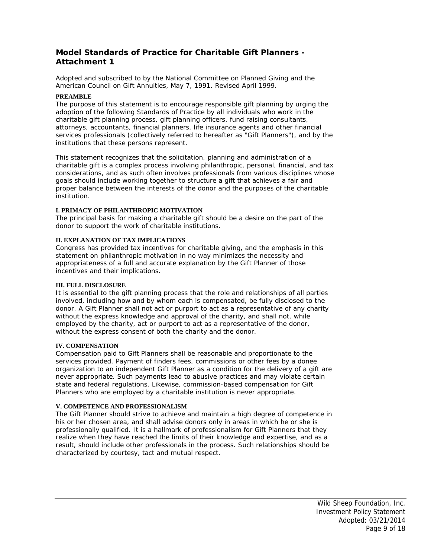## **Model Standards of Practice for Charitable Gift Planners - Attachment 1**

*Adopted and subscribed to by the National Committee on Planned Giving and the American Council on Gift Annuities, May 7, 1991. Revised April 1999.*

#### **PREAMBLE**

The purpose of this statement is to encourage responsible gift planning by urging the adoption of the following Standards of Practice by all individuals who work in the charitable gift planning process, gift planning officers, fund raising consultants, attorneys, accountants, financial planners, life insurance agents and other financial services professionals (collectively referred to hereafter as "Gift Planners"), and by the institutions that these persons represent.

This statement recognizes that the solicitation, planning and administration of a charitable gift is a complex process involving philanthropic, personal, financial, and tax considerations, and as such often involves professionals from various disciplines whose goals should include working together to structure a gift that achieves a fair and proper balance between the interests of the donor and the purposes of the charitable institution.

#### **I. PRIMACY OF PHILANTHROPIC MOTIVATION**

The principal basis for making a charitable gift should be a desire on the part of the donor to support the work of charitable institutions.

#### **II. EXPLANATION OF TAX IMPLICATIONS**

Congress has provided tax incentives for charitable giving, and the emphasis in this statement on philanthropic motivation in no way minimizes the necessity and appropriateness of a full and accurate explanation by the Gift Planner of those incentives and their implications.

#### **III. FULL DISCLOSURE**

It is essential to the gift planning process that the role and relationships of all parties involved, including how and by whom each is compensated, be fully disclosed to the donor. A Gift Planner shall not act or purport to act as a representative of any charity without the express knowledge and approval of the charity, and shall not, while employed by the charity, act or purport to act as a representative of the donor, without the express consent of both the charity and the donor.

#### **IV. COMPENSATION**

Compensation paid to Gift Planners shall be reasonable and proportionate to the services provided. Payment of finders fees, commissions or other fees by a donee organization to an independent Gift Planner as a condition for the delivery of a gift are never appropriate. Such payments lead to abusive practices and may violate certain state and federal regulations. Likewise, commission-based compensation for Gift Planners who are employed by a charitable institution is never appropriate.

### **V. COMPETENCE AND PROFESSIONALISM**

The Gift Planner should strive to achieve and maintain a high degree of competence in his or her chosen area, and shall advise donors only in areas in which he or she is professionally qualified. It is a hallmark of professionalism for Gift Planners that they realize when they have reached the limits of their knowledge and expertise, and as a result, should include other professionals in the process. Such relationships should be characterized by courtesy, tact and mutual respect.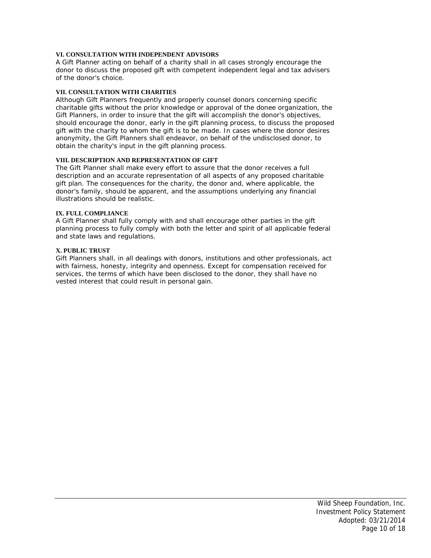#### **VI. CONSULTATION WITH INDEPENDENT ADVISORS**

A Gift Planner acting on behalf of a charity shall in all cases strongly encourage the donor to discuss the proposed gift with competent independent legal and tax advisers of the donor's choice.

#### **VII. CONSULTATION WITH CHARITIES**

Although Gift Planners frequently and properly counsel donors concerning specific charitable gifts without the prior knowledge or approval of the donee organization, the Gift Planners, in order to insure that the gift will accomplish the donor's objectives, should encourage the donor, early in the gift planning process, to discuss the proposed gift with the charity to whom the gift is to be made. In cases where the donor desires anonymity, the Gift Planners shall endeavor, on behalf of the undisclosed donor, to obtain the charity's input in the gift planning process.

#### **VIII. DESCRIPTION AND REPRESENTATION OF GIFT**

The Gift Planner shall make every effort to assure that the donor receives a full description and an accurate representation of all aspects of any proposed charitable gift plan. The consequences for the charity, the donor and, where applicable, the donor's family, should be apparent, and the assumptions underlying any financial illustrations should be realistic.

#### **IX. FULL COMPLIANCE**

A Gift Planner shall fully comply with and shall encourage other parties in the gift planning process to fully comply with both the letter and spirit of all applicable federal and state laws and regulations.

#### **X. PUBLIC TRUST**

Gift Planners shall, in all dealings with donors, institutions and other professionals, act with fairness, honesty, integrity and openness. Except for compensation received for services, the terms of which have been disclosed to the donor, they shall have no vested interest that could result in personal gain.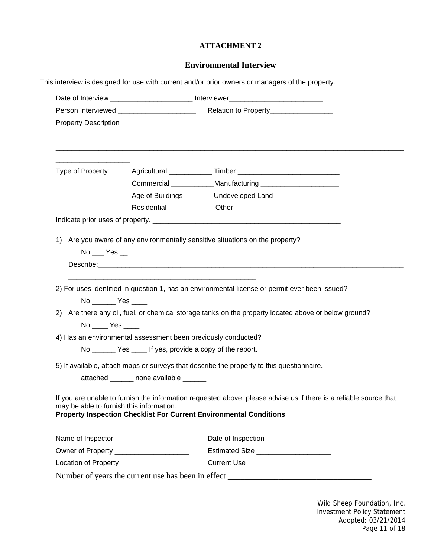### **ATTACHMENT 2**

### **Environmental Interview**

This interview is designed for use with current and/or prior owners or managers of the property.

|                                          | Person Interviewed ________________________<br>Relation to Property___________________                                                                                                                                         |
|------------------------------------------|--------------------------------------------------------------------------------------------------------------------------------------------------------------------------------------------------------------------------------|
| <b>Property Description</b>              |                                                                                                                                                                                                                                |
|                                          |                                                                                                                                                                                                                                |
| Type of Property:                        |                                                                                                                                                                                                                                |
|                                          | Commercial _____________Manufacturing _______________________                                                                                                                                                                  |
|                                          | Age of Buildings _______ Undeveloped Land __________________                                                                                                                                                                   |
|                                          |                                                                                                                                                                                                                                |
|                                          |                                                                                                                                                                                                                                |
|                                          | 1) Are you aware of any environmentally sensitive situations on the property?                                                                                                                                                  |
| $No$ $Yes$ $\_$                          |                                                                                                                                                                                                                                |
|                                          | Describe: Note: Note: Note: Note: Note: Note: Note: Note: Note: Note: Note: Note: Note: Note: Note: Note: Note: Note: Note: Note: Note: Note: Note: Note: Note: Note: Note: Note: Note: Note: Note: Note: Note: Note: Note: No |
|                                          |                                                                                                                                                                                                                                |
|                                          | 2) For uses identified in question 1, has an environmental license or permit ever been issued?                                                                                                                                 |
| No _________ Yes _____                   |                                                                                                                                                                                                                                |
|                                          | 2) Are there any oil, fuel, or chemical storage tanks on the property located above or below ground?                                                                                                                           |
| $No$ $Yes$ $\_\_$                        |                                                                                                                                                                                                                                |
|                                          | 4) Has an environmental assessment been previously conducted?                                                                                                                                                                  |
|                                          | No ________ Yes _____ If yes, provide a copy of the report.                                                                                                                                                                    |
|                                          | 5) If available, attach maps or surveys that describe the property to this questionnaire.                                                                                                                                      |
|                                          | attached _______ none available ______                                                                                                                                                                                         |
|                                          |                                                                                                                                                                                                                                |
| may be able to furnish this information. | If you are unable to furnish the information requested above, please advise us if there is a reliable source that<br><b>Property Inspection Checklist For Current Environmental Conditions</b>                                 |
|                                          |                                                                                                                                                                                                                                |
|                                          | Date of Inspection ________________                                                                                                                                                                                            |
|                                          | Owner of Property _____________________<br>Estimated Size _____________________                                                                                                                                                |
|                                          | Location of Property ___________________<br>Current Use _______________________                                                                                                                                                |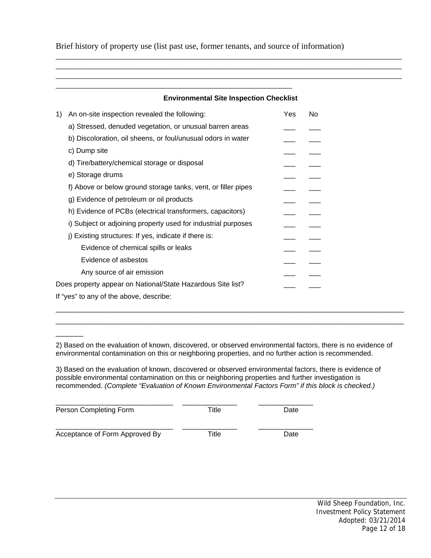Brief history of property use (list past use, former tenants, and source of information)

\_\_\_\_\_\_\_\_\_\_\_\_\_\_\_\_\_\_\_\_\_\_\_\_\_\_\_\_\_\_\_\_\_\_\_\_\_\_\_\_\_\_\_\_\_\_\_\_\_\_\_\_\_\_\_\_

### **Environmental Site Inspection Checklist**

\_\_\_\_\_\_\_\_\_\_\_\_\_\_\_\_\_\_\_\_\_\_\_\_\_\_\_\_\_\_\_\_\_\_\_\_\_\_\_\_\_\_\_\_\_\_\_\_\_\_\_\_\_\_\_\_\_\_\_\_\_\_\_\_\_\_\_\_\_\_\_\_\_\_\_\_\_\_\_\_\_\_ \_\_\_\_\_\_\_\_\_\_\_\_\_\_\_\_\_\_\_\_\_\_\_\_\_\_\_\_\_\_\_\_\_\_\_\_\_\_\_\_\_\_\_\_\_\_\_\_\_\_\_\_\_\_\_\_\_\_\_\_\_\_\_\_\_\_\_\_\_\_\_\_\_\_\_\_\_\_\_\_\_\_ \_\_\_\_\_\_\_\_\_\_\_\_\_\_\_\_\_\_\_\_\_\_\_\_\_\_\_\_\_\_\_\_\_\_\_\_\_\_\_\_\_\_\_\_\_\_\_\_\_\_\_\_\_\_\_\_\_\_\_\_\_\_\_\_\_\_\_\_\_\_\_\_\_\_\_\_\_\_\_\_\_\_

| 1) | An on-site inspection revealed the following:                 | Yes | <b>No</b> |
|----|---------------------------------------------------------------|-----|-----------|
|    | a) Stressed, denuded vegetation, or unusual barren areas      |     |           |
|    | b) Discoloration, oil sheens, or foul/unusual odors in water  |     |           |
|    | c) Dump site                                                  |     |           |
|    | d) Tire/battery/chemical storage or disposal                  |     |           |
|    | e) Storage drums                                              |     |           |
|    | f) Above or below ground storage tanks, vent, or filler pipes |     |           |
|    | g) Evidence of petroleum or oil products                      |     |           |
|    | h) Evidence of PCBs (electrical transformers, capacitors)     |     |           |
|    | i) Subject or adjoining property used for industrial purposes |     |           |
|    | j) Existing structures: If yes, indicate if there is:         |     |           |
|    | Evidence of chemical spills or leaks                          |     |           |
|    | Evidence of asbestos                                          |     |           |
|    | Any source of air emission                                    |     |           |
|    | Does property appear on National/State Hazardous Site list?   |     |           |
|    | If "yes" to any of the above, describe:                       |     |           |
|    |                                                               |     |           |

2) Based on the evaluation of known, discovered, or observed environmental factors, there is no evidence of environmental contamination on this or neighboring properties, and no further action is recommended.

 $\Box$  $\Box$ 

3) Based on the evaluation of known, discovered or observed environmental factors, there is evidence of possible environmental contamination on this or neighboring properties and further investigation is recommended. *(Complete "Evaluation of Known Environmental Factors Form" if this block is checked.)* 

| Person Completing Form         | Title | Date |
|--------------------------------|-------|------|
| Acceptance of Form Approved By | Title | Date |

\_\_\_\_\_\_\_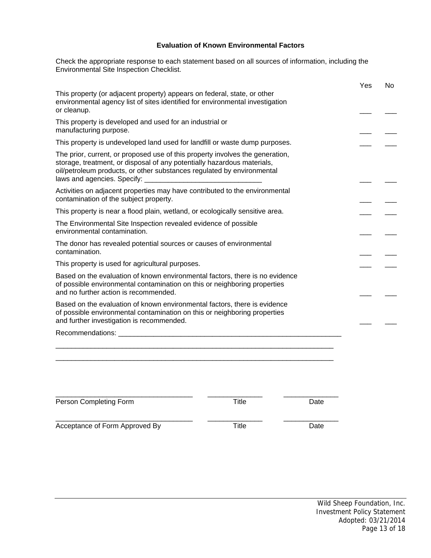### **Evaluation of Known Environmental Factors**

Check the appropriate response to each statement based on all sources of information, including the Environmental Site Inspection Checklist.

|                                                                                                                                                                                                                                                                   |       |      | Yes | No |
|-------------------------------------------------------------------------------------------------------------------------------------------------------------------------------------------------------------------------------------------------------------------|-------|------|-----|----|
| This property (or adjacent property) appears on federal, state, or other<br>environmental agency list of sites identified for environmental investigation<br>or cleanup.                                                                                          |       |      |     |    |
| This property is developed and used for an industrial or<br>manufacturing purpose.                                                                                                                                                                                |       |      |     |    |
| This property is undeveloped land used for landfill or waste dump purposes.                                                                                                                                                                                       |       |      |     |    |
| The prior, current, or proposed use of this property involves the generation,<br>storage, treatment, or disposal of any potentially hazardous materials,<br>oil/petroleum products, or other substances regulated by environmental<br>laws and agencies. Specify: |       |      |     |    |
| Activities on adjacent properties may have contributed to the environmental<br>contamination of the subject property.                                                                                                                                             |       |      |     |    |
| This property is near a flood plain, wetland, or ecologically sensitive area.                                                                                                                                                                                     |       |      |     |    |
| The Environmental Site Inspection revealed evidence of possible<br>environmental contamination.                                                                                                                                                                   |       |      |     |    |
| The donor has revealed potential sources or causes of environmental<br>contamination.                                                                                                                                                                             |       |      |     |    |
| This property is used for agricultural purposes.                                                                                                                                                                                                                  |       |      |     |    |
| Based on the evaluation of known environmental factors, there is no evidence<br>of possible environmental contamination on this or neighboring properties<br>and no further action is recommended.                                                                |       |      |     |    |
| Based on the evaluation of known environmental factors, there is evidence<br>of possible environmental contamination on this or neighboring properties<br>and further investigation is recommended.                                                               |       |      |     |    |
|                                                                                                                                                                                                                                                                   |       |      |     |    |
|                                                                                                                                                                                                                                                                   |       |      |     |    |
|                                                                                                                                                                                                                                                                   |       |      |     |    |
| Person Completing Form                                                                                                                                                                                                                                            | Title | Date |     |    |
|                                                                                                                                                                                                                                                                   |       |      |     |    |

Acceptance of Form Approved By Title Title Date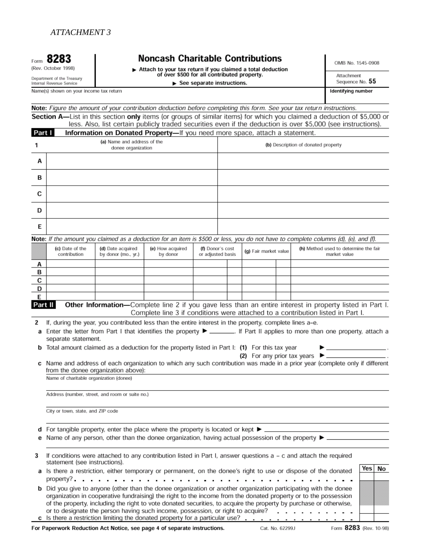# **Noncash Charitable Contributions**

Attach to your tax return if you claimed a total deduction<br>of over \$500 for all contributed property.  $\blacktriangleright$  See separate instructions.

OMB No. 1545-0908

Attachment Sequence No. 55 Identifying number

Internal Revenue Service

Form 8283

(Rev. October 1998)

Department of the Treasury

Name(s) shown on your income tax return

Note: Figure the amount of your contribution deduction before completing this form. See your tax return instructions. Section A-List in this section only items (or groups of similar items) for which you claimed a deduction of \$5,000 or less. Also, list certain publicly traded securities even if the deduction is over \$5,000 (see instructio

| Part I  |                                                                                                                                  |                                                                                                         |                              |                                       |  |                       | $\epsilon$ is the contract publicly traded securities even in the deduction is over $\epsilon$ ,000 (see instructions).                                                                                                               |           |
|---------|----------------------------------------------------------------------------------------------------------------------------------|---------------------------------------------------------------------------------------------------------|------------------------------|---------------------------------------|--|-----------------------|---------------------------------------------------------------------------------------------------------------------------------------------------------------------------------------------------------------------------------------|-----------|
| 1       | Information on Donated Property-If you need more space, attach a statement.<br>(a) Name and address of the<br>donee organization |                                                                                                         |                              |                                       |  |                       | (b) Description of donated property                                                                                                                                                                                                   |           |
| А       |                                                                                                                                  |                                                                                                         |                              |                                       |  |                       |                                                                                                                                                                                                                                       |           |
| в       |                                                                                                                                  |                                                                                                         |                              |                                       |  |                       |                                                                                                                                                                                                                                       |           |
| с       |                                                                                                                                  |                                                                                                         |                              |                                       |  |                       |                                                                                                                                                                                                                                       |           |
| D       |                                                                                                                                  |                                                                                                         |                              |                                       |  |                       |                                                                                                                                                                                                                                       |           |
| Е       |                                                                                                                                  |                                                                                                         |                              |                                       |  |                       |                                                                                                                                                                                                                                       |           |
|         |                                                                                                                                  |                                                                                                         |                              |                                       |  |                       | Note: If the amount you claimed as a deduction for an item is \$500 or less, you do not have to complete columns (d), (e), and (f).                                                                                                   |           |
|         | (c) Date of the<br>contribution                                                                                                  | (d) Date acquired<br>by donor (mo., yr.)                                                                | (e) How acquired<br>by donor | (f) Donor's cost<br>or adjusted basis |  | (g) Fair market value | (h) Method used to determine the fair<br>market value                                                                                                                                                                                 |           |
| Α       |                                                                                                                                  |                                                                                                         |                              |                                       |  |                       |                                                                                                                                                                                                                                       |           |
| в       |                                                                                                                                  |                                                                                                         |                              |                                       |  |                       |                                                                                                                                                                                                                                       |           |
| с<br>D  |                                                                                                                                  |                                                                                                         |                              |                                       |  |                       |                                                                                                                                                                                                                                       |           |
| Е       |                                                                                                                                  |                                                                                                         |                              |                                       |  |                       |                                                                                                                                                                                                                                       |           |
| Part II |                                                                                                                                  |                                                                                                         |                              |                                       |  |                       | Other Information-Complete line 2 if you gave less than an entire interest in property listed in Part I.<br>Complete line 3 if conditions were attached to a contribution listed in Part I.                                           |           |
| 2       |                                                                                                                                  | If, during the year, you contributed less than the entire interest in the property, complete lines a-e. |                              |                                       |  |                       |                                                                                                                                                                                                                                       |           |
|         | separate statement.                                                                                                              |                                                                                                         |                              |                                       |  |                       | a Enter the letter from Part I that identifies the property ▶ _______. If Part II applies to more than one property, attach a                                                                                                         |           |
|         | <b>b</b> Total amount claimed as a deduction for the property listed in Part I: (1) For this tax year                            |                                                                                                         |                              |                                       |  |                       | (2) For any prior tax years $\blacktriangleright$ ____                                                                                                                                                                                |           |
|         | Name of charitable organization (donee)                                                                                          | from the donee organization above):                                                                     |                              |                                       |  |                       | c Name and address of each organization to which any such contribution was made in a prior year (complete only if different                                                                                                           |           |
|         |                                                                                                                                  |                                                                                                         |                              |                                       |  |                       |                                                                                                                                                                                                                                       |           |
|         |                                                                                                                                  | Address (number, street, and room or suite no.)                                                         |                              |                                       |  |                       |                                                                                                                                                                                                                                       |           |
|         | City or town, state, and ZIP code                                                                                                |                                                                                                         |                              |                                       |  |                       |                                                                                                                                                                                                                                       |           |
|         | d For tangible property, enter the place where the property is located or kept $\blacktriangleright$ _                           |                                                                                                         |                              |                                       |  |                       |                                                                                                                                                                                                                                       |           |
|         | e Name of any person, other than the donee organization, having actual possession of the property $\blacktriangleright$ .        |                                                                                                         |                              |                                       |  |                       |                                                                                                                                                                                                                                       |           |
| 3       | statement (see instructions).                                                                                                    |                                                                                                         |                              |                                       |  |                       | If conditions were attached to any contribution listed in Part I, answer questions a - c and attach the required                                                                                                                      |           |
|         |                                                                                                                                  | property?                                                                                               |                              |                                       |  |                       | a Is there a restriction, either temporary or permanent, on the donee's right to use or dispose of the donated                                                                                                                        | Yes<br>No |
|         |                                                                                                                                  |                                                                                                         |                              |                                       |  |                       | <b>b</b> Did you give to anyone (other than the donee organization or another organization participating with the donee                                                                                                               |           |
|         |                                                                                                                                  |                                                                                                         |                              |                                       |  |                       | organization in cooperative fundraising) the right to the income from the donated property or to the possession<br>of the property, including the right to vote donated securities, to acquire the property by purchase or otherwise, |           |
|         |                                                                                                                                  |                                                                                                         |                              |                                       |  |                       | or to designate the person having such income, possession, or right to acquire?<br>c Is there a restriction limiting the donated property for a particular use?                                                                       |           |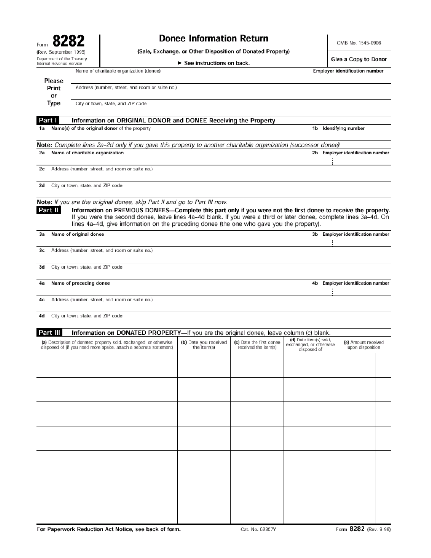| Form                                                   |  |
|--------------------------------------------------------|--|
| (Rev. September 1998)                                  |  |
| Department of the Treasury<br>Internal Revenue Service |  |

# **Donee Information Return**

OMB No. 1545-0908

(Sale, Exchange, or Other Disposition of Donated Property)

 $\sim$  $\overline{a}$  $\overline{a}$ 

| Department or the Treasury<br>Internal Revenue Service |                                   |                                                                                                                                                                                                                                                                                                                                     | $\triangleright$ See instructions on back. |                                                  |                                                                  |    | Give a Copy to Donor                    |  |
|--------------------------------------------------------|-----------------------------------|-------------------------------------------------------------------------------------------------------------------------------------------------------------------------------------------------------------------------------------------------------------------------------------------------------------------------------------|--------------------------------------------|--------------------------------------------------|------------------------------------------------------------------|----|-----------------------------------------|--|
| Please                                                 |                                   | Name of charitable organization (donee)                                                                                                                                                                                                                                                                                             |                                            |                                                  |                                                                  |    | <b>Employer identification number</b>   |  |
| Print<br>or                                            |                                   | Address (number, street, and room or suite no.)                                                                                                                                                                                                                                                                                     |                                            |                                                  |                                                                  |    |                                         |  |
| Type                                                   |                                   | City or town, state, and ZIP code                                                                                                                                                                                                                                                                                                   |                                            |                                                  |                                                                  |    |                                         |  |
| Part I                                                 |                                   | Information on ORIGINAL DONOR and DONEE Receiving the Property                                                                                                                                                                                                                                                                      |                                            |                                                  |                                                                  |    |                                         |  |
| 1a                                                     |                                   | Name(s) of the original donor of the property                                                                                                                                                                                                                                                                                       |                                            |                                                  |                                                                  |    | 1b Identifying number                   |  |
|                                                        |                                   | Note: Complete lines 2a-2d only if you gave this property to another charitable organization (successor donee).                                                                                                                                                                                                                     |                                            |                                                  |                                                                  |    |                                         |  |
| 2a                                                     | Name of charitable organization   |                                                                                                                                                                                                                                                                                                                                     |                                            |                                                  |                                                                  | 2b | <b>Employer identification number</b>   |  |
| 2c                                                     |                                   | Address (number, street, and room or suite no.)                                                                                                                                                                                                                                                                                     |                                            |                                                  |                                                                  |    |                                         |  |
| 2d                                                     | City or town, state, and ZIP code |                                                                                                                                                                                                                                                                                                                                     |                                            |                                                  |                                                                  |    |                                         |  |
|                                                        |                                   | Note: If you are the original donee, skip Part II and go to Part III now.                                                                                                                                                                                                                                                           |                                            |                                                  |                                                                  |    |                                         |  |
| Part II                                                |                                   | Information on PREVIOUS DONEES-Complete this part only if you were not the first donee to receive the property.<br>If you were the second donee, leave lines 4a-4d blank. If you were a third or later donee, complete lines 3a-4d. On<br>lines 4a-4d, give information on the preceding donee (the one who gave you the property). |                                            |                                                  |                                                                  |    |                                         |  |
| Зa                                                     | Name of original donee            |                                                                                                                                                                                                                                                                                                                                     |                                            |                                                  |                                                                  | 3b | <b>Employer identification number</b>   |  |
| 3c                                                     |                                   | Address (number, street, and room or suite no.)                                                                                                                                                                                                                                                                                     |                                            |                                                  |                                                                  |    |                                         |  |
| 3d                                                     | City or town, state, and ZIP code |                                                                                                                                                                                                                                                                                                                                     |                                            |                                                  |                                                                  |    |                                         |  |
| 4a                                                     | Name of preceding donee           |                                                                                                                                                                                                                                                                                                                                     |                                            |                                                  | 4b                                                               |    | <b>Employer identification number</b>   |  |
| 4c                                                     |                                   | Address (number, street, and room or suite no.)                                                                                                                                                                                                                                                                                     |                                            |                                                  |                                                                  |    |                                         |  |
| 4d                                                     | City or town, state, and ZIP code |                                                                                                                                                                                                                                                                                                                                     |                                            |                                                  |                                                                  |    |                                         |  |
| Part III                                               |                                   | Information on DONATED PROPERTY-If you are the original donee, leave column (c) blank.                                                                                                                                                                                                                                              |                                            |                                                  |                                                                  |    |                                         |  |
|                                                        |                                   | (a) Description of donated property sold, exchanged, or otherwise<br>disposed of (if you need more space, attach a separate statement)                                                                                                                                                                                              | (b) Date you received<br>the item(s)       | (c) Date the first donee<br>received the item(s) | (d) Date item(s) sold,<br>exchanged, or otherwise<br>disposed of |    | (e) Amount received<br>upon disposition |  |
|                                                        |                                   |                                                                                                                                                                                                                                                                                                                                     |                                            |                                                  |                                                                  |    |                                         |  |
|                                                        |                                   |                                                                                                                                                                                                                                                                                                                                     |                                            |                                                  |                                                                  |    |                                         |  |
|                                                        |                                   |                                                                                                                                                                                                                                                                                                                                     |                                            |                                                  |                                                                  |    |                                         |  |
|                                                        |                                   |                                                                                                                                                                                                                                                                                                                                     |                                            |                                                  |                                                                  |    |                                         |  |
|                                                        |                                   |                                                                                                                                                                                                                                                                                                                                     |                                            |                                                  |                                                                  |    |                                         |  |
|                                                        |                                   |                                                                                                                                                                                                                                                                                                                                     |                                            |                                                  |                                                                  |    |                                         |  |
|                                                        |                                   |                                                                                                                                                                                                                                                                                                                                     |                                            |                                                  |                                                                  |    |                                         |  |
|                                                        |                                   |                                                                                                                                                                                                                                                                                                                                     |                                            |                                                  |                                                                  |    |                                         |  |
|                                                        |                                   |                                                                                                                                                                                                                                                                                                                                     |                                            |                                                  |                                                                  |    |                                         |  |
|                                                        |                                   |                                                                                                                                                                                                                                                                                                                                     |                                            |                                                  |                                                                  |    |                                         |  |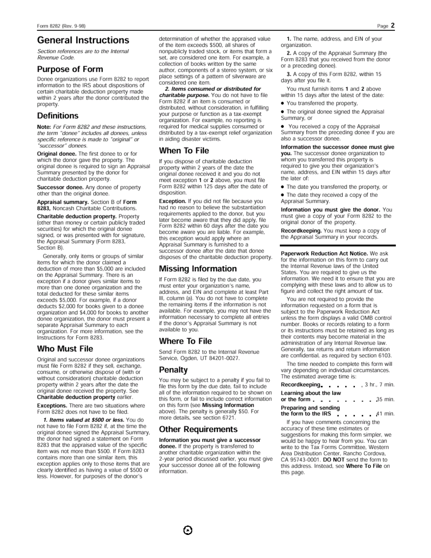# **General Instructions**

Section references are to the Internal Revenue Code.

### **Purpose of Form**

Donee organizations use Form 8282 to report information to the IRS about dispositions of certain charitable deduction property made within 2 years after the donor contributed the property.

### **Definitions**

Note: For Form 8282 and these instructions, the term "donee" includes all donees, unless specific reference is made to "original" or "successor" donees.

Original donee. The first donee to or for which the donor gave the property. The original donee is required to sign an Appraisal Summary presented by the donor for charitable deduction property.

Successor donee. Any donee of property other than the original donee.

Appraisal summary. Section B of Form 8283, Noncash Charitable Contributions.

Charitable deduction property. Property (other than money or certain publicly traded securities) for which the original donee signed, or was presented with for signature, the Appraisal Summary (Form 8283, Section B).

Generally, only items or groups of similar items for which the donor claimed a deduction of more than \$5,000 are included on the Appraisal Summary. There is an exception if a donor gives similar items to more than one donee organization and the total deducted for these similar items exceeds \$5,000. For example, if a donor deducts \$2,000 for books given to a donee organization and \$4,000 for books to another donee organization, the donor must present a separate Appraisal Summary to each organization. For more information, see the Instructions for Form 8283.

### Who Must File

Original and successor donee organizations must file Form 8282 if they sell, exchange, consume, or otherwise dispose of (with or without consideration) charitable deduction property within 2 years after the date the original donee received the property. See Charitable deduction property earlier.

Exceptions. There are two situations where Form 8282 does not have to be filed.

1. Items valued at \$500 or less. You do not have to file Form 8282 if, at the time the original donee signed the Appraisal Summary, the donor had signed a statement on Form 8283 that the appraised value of the specific item was not more than \$500. If Form 8283 contains more than one similar item, this exception applies only to those items that are clearly identified as having a value of \$500 or less. However, for purposes of the donor's

determination of whether the appraised value of the item exceeds \$500, all shares of nonpublicly traded stock, or items that form a set, are considered one item. For example, a collection of books written by the same author, components of a stereo system, or six place settings of a pattern of silverware are considered one item.

2. Items consumed or distributed for charitable purpose. You do not have to file Form 8282 if an item is consumed or distributed, without consideration, in fulfilling your purpose or function as a tax-exempt organization. For example, no reporting is required for medical supplies consumed or distributed by a tax-exempt relief organization in aiding disaster victims.

### When To File

If you dispose of charitable deduction property within 2 years of the date the original donee received it and you do not meet exception 1 or 2 above, you must file Form 8282 within 125 days after the date of disposition.

Exception. If you did not file because you had no reason to believe the substantiation requirements applied to the donor, but you later become aware that they did apply, file Form 8282 within 60 days after the date you become aware you are liable. For example, this exception would apply where an Appraisal Summary is furnished to a successor donee after the date that donee disposes of the charitable deduction property.

### Missing Information

If Form 8282 is filed by the due date, you must enter your organization's name, address, and EIN and complete at least Part III, column (a). You do not have to complete the remaining items if the information is not available. For example, you may not have the information necessary to complete all entries if the donor's Appraisal Summary is not available to you.

### Where To File

Send Form 8282 to the Internal Revenue Service, Ogden, UT 84201-0027.

### Penalty

You may be subject to a penalty if you fail to file this form by the due date, fail to include all of the information required to be shown on this form, or fail to include correct information on this form (see Missing Information above). The penalty is generally \$50. For more details, see section 6721.

### **Other Requirements**

Information you must give a successor donee. If the property is transferred to another charitable organization within the 2-year period discussed earlier, you must give your successor donee all of the following information.

1. The name, address, and EIN of your organization.

2. A copy of the Appraisal Summary (the Form 8283 that you received from the donor or a preceding donee).

3. A copy of this Form 8282, within 15 days after you file it.

You must furnish items 1 and 2 above within 15 days after the latest of the date:

. You transferred the property,

. The original donee signed the Appraisal Summary, or

You received a copy of the Appraisal Summary from the preceding donee if you are also a successor donee.

Information the successor donee must give you. The successor donee organization to whom you transferred this property is required to give you their organization's name, address, and EIN within 15 days after the later of:

• The date you transferred the property, or

• The date they received a copy of the Appraisal Summary.

Information you must give the donor. You must give a copy of your Form 8282 to the original donor of the property.

Recordkeeping. You must keep a copy of the Appraisal Summary in your records.

Paperwork Reduction Act Notice. We ask for the information on this form to carry out the Internal Revenue laws of the United States. You are required to give us the information. We need it to ensure that you are complying with these laws and to allow us to figure and collect the right amount of tax.

You are not required to provide the information requested on a form that is subject to the Paperwork Reduction Act unless the form displays a valid OMB control number. Books or records relating to a form or its instructions must be retained as long as their contents may become material in the administration of any Internal Revenue law. Generally, tax returns and return information are confidential, as required by section 6103.

The time needed to complete this form will vary depending on individual circumstances. The estimated average time is:

| Recordkeeping extensive and a material        |  |  | . 3 hr., 7 min. |
|-----------------------------------------------|--|--|-----------------|
| Learning about the law<br>or the form 35 min. |  |  |                 |
| Preparing and sending<br>the form to the UNG  |  |  | A.M. Sandbar    |

the form to the IRS  $41 \text{ min.}$ If you have comments concerning the

accuracy of these time estimates or suggestions for making this form simpler, we would be happy to hear from you. You can write to the Tax Forms Committee, Western Area Distribution Center, Rancho Cordova, CA 95743-0001. DO NOT send the form to this address. Instead, see Where To File on this page.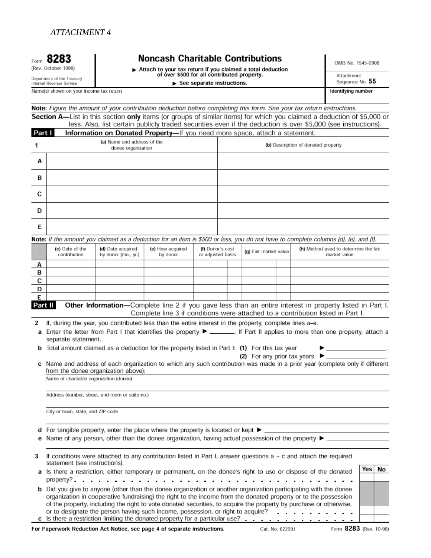# **Noncash Charitable Contributions**

Attach to your tax return if you claimed a total deduction<br>of over \$500 for all contributed property.

 $\blacktriangleright$  See separate instructions.

OMB No. 1545-0908

Attachment Sequence No. 55

Identifying number

Department of the Treasury<br>Internal Revenue Service

Form 8283

(Rev. October 1998)

Name(s) shown on your income tax return

Note: Figure the amount of your contribution deduction before completing this form. See your tax return instructions. Section A-List in this section only items (or groups of similar items) for which you claimed a deduction of \$5,000 or

less. Also, list certain publicly traded securities even if the deduction is over \$5,000 (see instructions).  $\overline{16}$ 

| Part I  |                                         | <b>Information on Donated Property—</b> If you need more space, attach a statement.                                                                             |                              |                                       |                       |             |                                                                                                                                                                                                                                       |     |    |
|---------|-----------------------------------------|-----------------------------------------------------------------------------------------------------------------------------------------------------------------|------------------------------|---------------------------------------|-----------------------|-------------|---------------------------------------------------------------------------------------------------------------------------------------------------------------------------------------------------------------------------------------|-----|----|
| 1       |                                         |                                                                                                                                                                 |                              | (b) Description of donated property   |                       |             |                                                                                                                                                                                                                                       |     |    |
| A       |                                         |                                                                                                                                                                 |                              |                                       |                       |             |                                                                                                                                                                                                                                       |     |    |
| в       |                                         |                                                                                                                                                                 |                              |                                       |                       |             |                                                                                                                                                                                                                                       |     |    |
| C       |                                         |                                                                                                                                                                 |                              |                                       |                       |             |                                                                                                                                                                                                                                       |     |    |
| D       |                                         |                                                                                                                                                                 |                              |                                       |                       |             |                                                                                                                                                                                                                                       |     |    |
| Е       |                                         |                                                                                                                                                                 |                              |                                       |                       |             |                                                                                                                                                                                                                                       |     |    |
|         |                                         |                                                                                                                                                                 |                              |                                       |                       |             | Note: If the amount you claimed as a deduction for an item is \$500 or less, you do not have to complete columns (d), (e), and (f).                                                                                                   |     |    |
|         | (c) Date of the<br>contribution         | (d) Date acquired<br>by donor (mo., yr.)                                                                                                                        | (e) How acquired<br>by donor | (f) Donor's cost<br>or adjusted basis | (g) Fair market value |             | (h) Method used to determine the fair<br>market value                                                                                                                                                                                 |     |    |
| А       |                                         |                                                                                                                                                                 |                              |                                       |                       |             |                                                                                                                                                                                                                                       |     |    |
| в<br>С  |                                         |                                                                                                                                                                 |                              |                                       |                       |             |                                                                                                                                                                                                                                       |     |    |
| D       |                                         |                                                                                                                                                                 |                              |                                       |                       |             |                                                                                                                                                                                                                                       |     |    |
| E       |                                         |                                                                                                                                                                 |                              |                                       |                       |             |                                                                                                                                                                                                                                       |     |    |
| Part II |                                         |                                                                                                                                                                 |                              |                                       |                       |             | Other Information-Complete line 2 if you gave less than an entire interest in property listed in Part I.<br>Complete line 3 if conditions were attached to a contribution listed in Part I.                                           |     |    |
| 2       |                                         | If, during the year, you contributed less than the entire interest in the property, complete lines a-e.                                                         |                              |                                       |                       |             |                                                                                                                                                                                                                                       |     |    |
| а       |                                         |                                                                                                                                                                 |                              |                                       |                       |             | Enter the letter from Part I that identifies the property ▶ ________. If Part II applies to more than one property, attach a                                                                                                          |     |    |
|         | separate statement.                     |                                                                                                                                                                 |                              |                                       |                       |             |                                                                                                                                                                                                                                       |     |    |
|         |                                         | <b>b</b> Total amount claimed as a deduction for the property listed in Part I: (1) For this tax year                                                           |                              |                                       |                       |             | the control of the control of the control of<br>(2) For any prior tax years ▶ _____                                                                                                                                                   |     |    |
|         |                                         | from the donee organization above):                                                                                                                             |                              |                                       |                       |             | c Name and address of each organization to which any such contribution was made in a prior year (complete only if different                                                                                                           |     |    |
|         | Name of charitable organization (donee) |                                                                                                                                                                 |                              |                                       |                       |             |                                                                                                                                                                                                                                       |     |    |
|         |                                         | Address (number, street, and room or suite no.)                                                                                                                 |                              |                                       |                       |             |                                                                                                                                                                                                                                       |     |    |
|         | City or town, state, and ZIP code       |                                                                                                                                                                 |                              |                                       |                       |             |                                                                                                                                                                                                                                       |     |    |
|         |                                         |                                                                                                                                                                 |                              |                                       |                       |             |                                                                                                                                                                                                                                       |     |    |
|         |                                         | d For tangible property, enter the place where the property is located or kept $\blacktriangleright$ _                                                          |                              |                                       |                       |             |                                                                                                                                                                                                                                       |     |    |
|         |                                         | e Name of any person, other than the donee organization, having actual possession of the property $\blacktriangleright$ _                                       |                              |                                       |                       |             |                                                                                                                                                                                                                                       |     |    |
| 3       | statement (see instructions).           |                                                                                                                                                                 |                              |                                       |                       |             | If conditions were attached to any contribution listed in Part I, answer questions a - c and attach the required                                                                                                                      |     |    |
|         |                                         | property?                                                                                                                                                       |                              |                                       |                       |             | a Is there a restriction, either temporary or permanent, on the donee's right to use or dispose of the donated                                                                                                                        | Yes | No |
|         |                                         |                                                                                                                                                                 |                              |                                       |                       |             | <b>b</b> Did you give to anyone (other than the donee organization or another organization participating with the donee                                                                                                               |     |    |
|         |                                         |                                                                                                                                                                 |                              |                                       |                       |             | organization in cooperative fundraising) the right to the income from the donated property or to the possession<br>of the property, including the right to vote donated securities, to acquire the property by purchase or otherwise, |     |    |
|         |                                         | or to designate the person having such income, possession, or right to acquire?<br>c Is there a restriction limiting the donated property for a particular use? |                              |                                       |                       | and a state |                                                                                                                                                                                                                                       |     |    |

For Paperwork Reduction Act Notice, see page 4 of separate instructions.